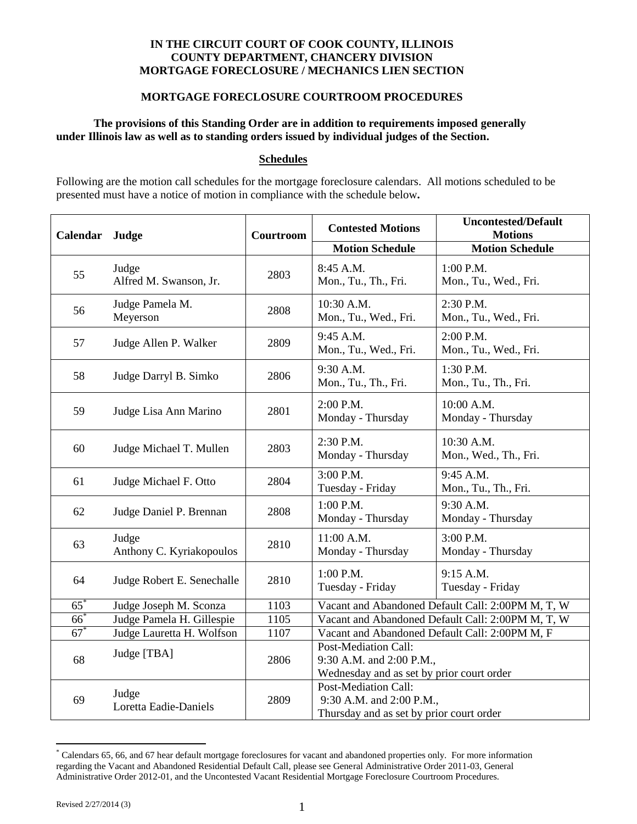### **IN THE CIRCUIT COURT OF COOK COUNTY, ILLINOIS COUNTY DEPARTMENT, CHANCERY DIVISION MORTGAGE FORECLOSURE / MECHANICS LIEN SECTION**

#### **MORTGAGE FORECLOSURE COURTROOM PROCEDURES**

## **The provisions of this Standing Order are in addition to requirements imposed generally under Illinois law as well as to standing orders issued by individual judges of the Section.**

#### **Schedules**

Following are the motion call schedules for the mortgage foreclosure calendars. All motions scheduled to be presented must have a notice of motion in compliance with the schedule below**.** 

| Calendar | Judge                             | Courtroom | <b>Contested Motions</b>                                                                      | <b>Uncontested/Default</b><br><b>Motions</b> |  |
|----------|-----------------------------------|-----------|-----------------------------------------------------------------------------------------------|----------------------------------------------|--|
|          |                                   |           | <b>Motion Schedule</b>                                                                        | <b>Motion Schedule</b>                       |  |
| 55       | Judge<br>Alfred M. Swanson, Jr.   | 2803      | 8:45 A.M.<br>Mon., Tu., Th., Fri.                                                             | 1:00 P.M.<br>Mon., Tu., Wed., Fri.           |  |
| 56       | Judge Pamela M.<br>Meyerson       | 2808      | 10:30 A.M.<br>Mon., Tu., Wed., Fri.                                                           | 2:30 P.M.<br>Mon., Tu., Wed., Fri.           |  |
| 57       | Judge Allen P. Walker             | 2809      | 9:45 A.M.<br>Mon., Tu., Wed., Fri.                                                            | 2:00 P.M.<br>Mon., Tu., Wed., Fri.           |  |
| 58       | Judge Darryl B. Simko             | 2806      | 9:30 A.M.<br>Mon., Tu., Th., Fri.                                                             | 1:30 P.M.<br>Mon., Tu., Th., Fri.            |  |
| 59       | Judge Lisa Ann Marino             | 2801      | 2:00 P.M.<br>Monday - Thursday                                                                | 10:00 A.M.<br>Monday - Thursday              |  |
| 60       | Judge Michael T. Mullen           | 2803      | 2:30 P.M.<br>Monday - Thursday                                                                | 10:30 A.M.<br>Mon., Wed., Th., Fri.          |  |
| 61       | Judge Michael F. Otto             | 2804      | 3:00 P.M.<br>Tuesday - Friday                                                                 | 9:45 A.M.<br>Mon., Tu., Th., Fri.            |  |
| 62       | Judge Daniel P. Brennan           | 2808      | 1:00 P.M.<br>Monday - Thursday                                                                | 9:30 A.M.<br>Monday - Thursday               |  |
| 63       | Judge<br>Anthony C. Kyriakopoulos | 2810      | 11:00 A.M.<br>Monday - Thursday                                                               | 3:00 P.M.<br>Monday - Thursday               |  |
| 64       | Judge Robert E. Senechalle        | 2810      | $1:00$ P.M.<br>Tuesday - Friday                                                               | 9:15 A.M.<br>Tuesday - Friday                |  |
| $65^*$   | Judge Joseph M. Sconza            | 1103      | Vacant and Abandoned Default Call: 2:00PM M, T, W                                             |                                              |  |
| $66^*$   | Judge Pamela H. Gillespie         | 1105      | Vacant and Abandoned Default Call: 2:00PM M, T, W                                             |                                              |  |
| $67*$    | Judge Lauretta H. Wolfson         | 1107      | Vacant and Abandoned Default Call: 2:00PM M, F                                                |                                              |  |
| 68       | Judge [TBA]                       | 2806      | Post-Mediation Call:<br>9:30 A.M. and 2:00 P.M.,<br>Wednesday and as set by prior court order |                                              |  |
| 69       | Judge<br>Loretta Eadie-Daniels    | 2809      | Post-Mediation Call:<br>9:30 A.M. and 2:00 P.M.,<br>Thursday and as set by prior court order  |                                              |  |

<sup>\*</sup> Calendars 65, 66, and 67 hear default mortgage foreclosures for vacant and abandoned properties only. For more information regarding the Vacant and Abandoned Residential Default Call, please see General Administrative Order 2011-03, General Administrative Order 2012-01, and the Uncontested Vacant Residential Mortgage Foreclosure Courtroom Procedures.

 $\overline{a}$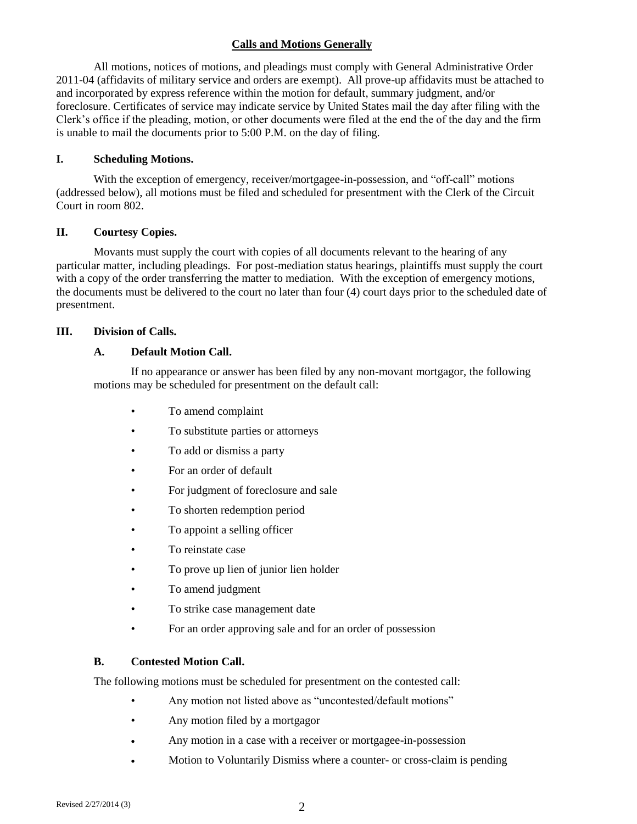## **Calls and Motions Generally**

All motions, notices of motions, and pleadings must comply with General Administrative Order 2011-04 (affidavits of military service and orders are exempt). All prove-up affidavits must be attached to and incorporated by express reference within the motion for default, summary judgment, and/or foreclosure. Certificates of service may indicate service by United States mail the day after filing with the Clerk's office if the pleading, motion, or other documents were filed at the end the of the day and the firm is unable to mail the documents prior to 5:00 P.M. on the day of filing.

#### **I. Scheduling Motions.**

With the exception of emergency, receiver/mortgagee-in-possession, and "off-call" motions (addressed below), all motions must be filed and scheduled for presentment with the Clerk of the Circuit Court in room 802.

#### **II. Courtesy Copies.**

Movants must supply the court with copies of all documents relevant to the hearing of any particular matter, including pleadings. For post-mediation status hearings, plaintiffs must supply the court with a copy of the order transferring the matter to mediation. With the exception of emergency motions, the documents must be delivered to the court no later than four (4) court days prior to the scheduled date of presentment.

### **III. Division of Calls.**

### **A. Default Motion Call.**

If no appearance or answer has been filed by any non-movant mortgagor, the following motions may be scheduled for presentment on the default call:

- To amend complaint
- To substitute parties or attorneys
- To add or dismiss a party
- For an order of default
- For judgment of foreclosure and sale
- To shorten redemption period
- To appoint a selling officer
- To reinstate case
- To prove up lien of junior lien holder
- To amend judgment
- To strike case management date
- For an order approving sale and for an order of possession

### **B. Contested Motion Call.**

The following motions must be scheduled for presentment on the contested call:

- Any motion not listed above as "uncontested/default motions"
- Any motion filed by a mortgagor
- Any motion in a case with a receiver or mortgagee-in-possession
- Motion to Voluntarily Dismiss where a counter- or cross-claim is pending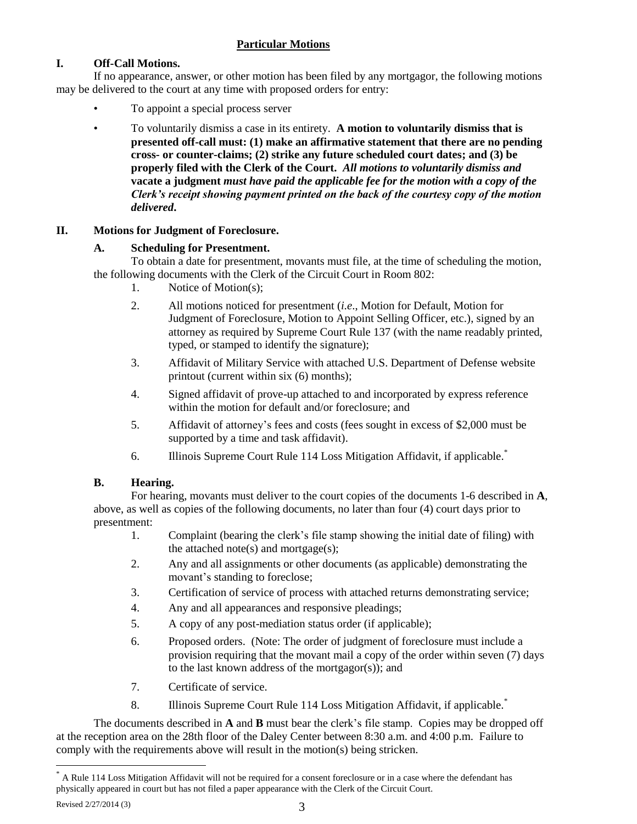# **Particular Motions**

# **I. Off-Call Motions.**

If no appearance, answer, or other motion has been filed by any mortgagor, the following motions may be delivered to the court at any time with proposed orders for entry:

- To appoint a special process server
- To voluntarily dismiss a case in its entirety. **A motion to voluntarily dismiss that is presented off-call must: (1) make an affirmative statement that there are no pending cross- or counter-claims; (2) strike any future scheduled court dates; and (3) be properly filed with the Clerk of the Court.** *All motions to voluntarily dismiss and*  **vacate a judgment** *must have paid the applicable fee for the motion with a copy of the Clerk's receipt showing payment printed on the back of the courtesy copy of the motion delivered***.**

## **II. Motions for Judgment of Foreclosure.**

## **A. Scheduling for Presentment.**

To obtain a date for presentment, movants must file, at the time of scheduling the motion, the following documents with the Clerk of the Circuit Court in Room 802:

- 1. Notice of Motion(s);
- 2. All motions noticed for presentment (*i.e*., Motion for Default, Motion for Judgment of Foreclosure, Motion to Appoint Selling Officer, etc.), signed by an attorney as required by Supreme Court Rule 137 (with the name readably printed, typed, or stamped to identify the signature);
- 3. Affidavit of Military Service with attached U.S. Department of Defense website printout (current within six (6) months);
- 4. Signed affidavit of prove-up attached to and incorporated by express reference within the motion for default and/or foreclosure; and
- 5. Affidavit of attorney's fees and costs (fees sought in excess of \$2,000 must be supported by a time and task affidavit).
- 6. Illinois Supreme Court Rule 114 Loss Mitigation Affidavit, if applicable. \*

## **B. Hearing.**

For hearing, movants must deliver to the court copies of the documents 1-6 described in **A**, above, as well as copies of the following documents, no later than four (4) court days prior to presentment:

- 1. Complaint (bearing the clerk's file stamp showing the initial date of filing) with the attached note(s) and mortgage(s);
- 2. Any and all assignments or other documents (as applicable) demonstrating the movant's standing to foreclose;
- 3. Certification of service of process with attached returns demonstrating service;
- 4. Any and all appearances and responsive pleadings;
- 5. A copy of any post-mediation status order (if applicable);
- 6. Proposed orders. (Note: The order of judgment of foreclosure must include a provision requiring that the movant mail a copy of the order within seven (7) days to the last known address of the mortgagor(s)); and
- 7. Certificate of service.
- 8. Illinois Supreme Court Rule 114 Loss Mitigation Affidavit, if applicable.<sup>\*</sup>

The documents described in **A** and **B** must bear the clerk's file stamp. Copies may be dropped off at the reception area on the 28th floor of the Daley Center between 8:30 a.m. and 4:00 p.m. Failure to comply with the requirements above will result in the motion(s) being stricken.

 $\overline{a}$ 

A Rule 114 Loss Mitigation Affidavit will not be required for a consent foreclosure or in a case where the defendant has physically appeared in court but has not filed a paper appearance with the Clerk of the Circuit Court.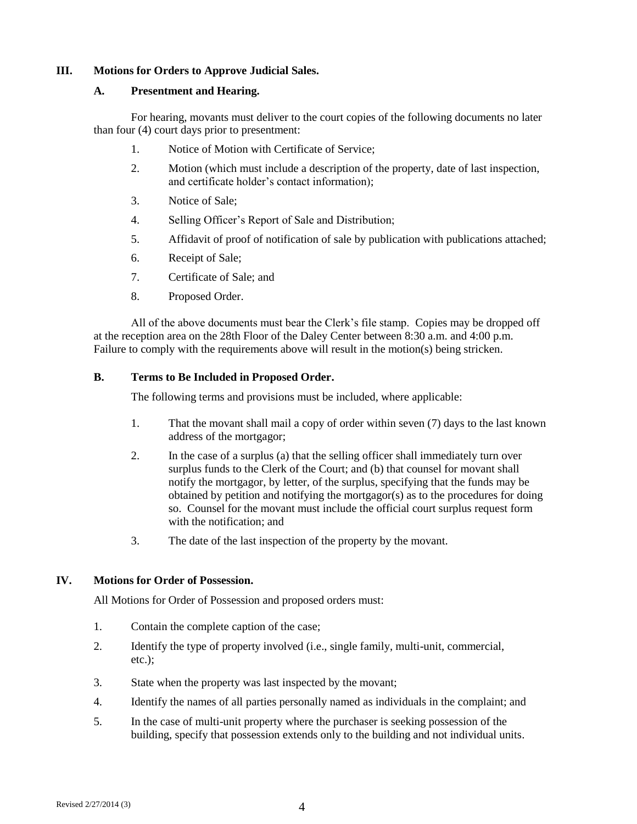### **III. Motions for Orders to Approve Judicial Sales.**

### **A. Presentment and Hearing.**

For hearing, movants must deliver to the court copies of the following documents no later than four (4) court days prior to presentment:

- 1. Notice of Motion with Certificate of Service;
- 2. Motion (which must include a description of the property, date of last inspection, and certificate holder's contact information);
- 3. Notice of Sale;
- 4. Selling Officer's Report of Sale and Distribution;
- 5. Affidavit of proof of notification of sale by publication with publications attached;
- 6. Receipt of Sale;
- 7. Certificate of Sale; and
- 8. Proposed Order.

All of the above documents must bear the Clerk's file stamp. Copies may be dropped off at the reception area on the 28th Floor of the Daley Center between 8:30 a.m. and 4:00 p.m. Failure to comply with the requirements above will result in the motion(s) being stricken.

## **B. Terms to Be Included in Proposed Order.**

The following terms and provisions must be included, where applicable:

- 1. That the movant shall mail a copy of order within seven (7) days to the last known address of the mortgagor;
- 2. In the case of a surplus (a) that the selling officer shall immediately turn over surplus funds to the Clerk of the Court; and (b) that counsel for movant shall notify the mortgagor, by letter, of the surplus, specifying that the funds may be obtained by petition and notifying the mortgagor(s) as to the procedures for doing so. Counsel for the movant must include the official court surplus request form with the notification; and
- 3. The date of the last inspection of the property by the movant.

## **IV. Motions for Order of Possession.**

All Motions for Order of Possession and proposed orders must:

- 1. Contain the complete caption of the case;
- 2. Identify the type of property involved (i.e., single family, multi-unit, commercial, etc.);
- 3. State when the property was last inspected by the movant;
- 4. Identify the names of all parties personally named as individuals in the complaint; and
- 5. In the case of multi-unit property where the purchaser is seeking possession of the building, specify that possession extends only to the building and not individual units.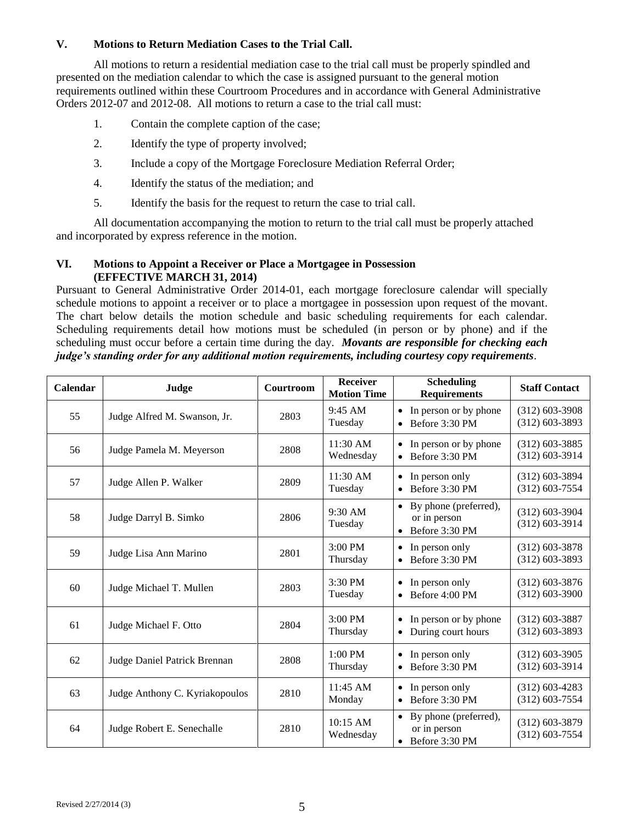### **V. Motions to Return Mediation Cases to the Trial Call.**

All motions to return a residential mediation case to the trial call must be properly spindled and presented on the mediation calendar to which the case is assigned pursuant to the general motion requirements outlined within these Courtroom Procedures and in accordance with General Administrative Orders 2012-07 and 2012-08. All motions to return a case to the trial call must:

- 1. Contain the complete caption of the case;
- 2. Identify the type of property involved;
- 3. Include a copy of the Mortgage Foreclosure Mediation Referral Order;
- 4. Identify the status of the mediation; and
- 5. Identify the basis for the request to return the case to trial call.

All documentation accompanying the motion to return to the trial call must be properly attached and incorporated by express reference in the motion.

### **VI. Motions to Appoint a Receiver or Place a Mortgagee in Possession (EFFECTIVE MARCH 31, 2014)**

Pursuant to General Administrative Order 2014-01, each mortgage foreclosure calendar will specially schedule motions to appoint a receiver or to place a mortgagee in possession upon request of the movant. The chart below details the motion schedule and basic scheduling requirements for each calendar. Scheduling requirements detail how motions must be scheduled (in person or by phone) and if the scheduling must occur before a certain time during the day. *Movants are responsible for checking each judge's standing order for any additional motion requirements, including courtesy copy requirements*.

| Calendar | Judge                          | Courtroom | <b>Receiver</b><br><b>Motion Time</b> | <b>Scheduling</b><br><b>Requirements</b>                                          | <b>Staff Contact</b>                 |
|----------|--------------------------------|-----------|---------------------------------------|-----------------------------------------------------------------------------------|--------------------------------------|
| 55       | Judge Alfred M. Swanson, Jr.   | 2803      | 9:45 AM<br>Tuesday                    | • In person or by phone<br>Before 3:30 PM<br>$\bullet$                            | $(312)$ 603-3908<br>$(312)$ 603-3893 |
| 56       | Judge Pamela M. Meyerson       | 2808      | 11:30 AM<br>Wednesday                 | In person or by phone<br>$\bullet$<br>Before 3:30 PM<br>$\bullet$                 | $(312)$ 603-3885<br>$(312)$ 603-3914 |
| 57       | Judge Allen P. Walker          | 2809      | $11:30$ AM<br>Tuesday                 | In person only<br>$\bullet$<br>Before 3:30 PM<br>$\bullet$                        | $(312)$ 603-3894<br>$(312)$ 603-7554 |
| 58       | Judge Darryl B. Simko          | 2806      | $9:30$ AM<br>Tuesday                  | By phone (preferred),<br>٠<br>or in person<br>Before 3:30 PM<br>$\bullet$         | $(312)$ 603-3904<br>$(312)$ 603-3914 |
| 59       | Judge Lisa Ann Marino          | 2801      | $3:00$ PM<br>Thursday                 | In person only<br>$\bullet$<br>Before 3:30 PM<br>$\bullet$                        | $(312)$ 603-3878<br>$(312)$ 603-3893 |
| 60       | Judge Michael T. Mullen        | 2803      | $3:30$ PM<br>Tuesday                  | In person only<br>٠<br>Before 4:00 PM<br>$\bullet$                                | $(312)$ 603-3876<br>$(312)$ 603-3900 |
| 61       | Judge Michael F. Otto          | 2804      | $3:00$ PM<br>Thursday                 | In person or by phone<br>$\bullet$<br>During court hours<br>$\bullet$             | $(312)$ 603-3887<br>$(312)$ 603-3893 |
| 62       | Judge Daniel Patrick Brennan   | 2808      | $1:00$ PM<br>Thursday                 | In person only<br>٠<br>Before 3:30 PM<br>$\bullet$                                | $(312)$ 603-3905<br>$(312)$ 603-3914 |
| 63       | Judge Anthony C. Kyriakopoulos | 2810      | $11:45$ AM<br>Monday                  | In person only<br>٠<br>Before 3:30 PM<br>$\bullet$                                | $(312)$ 603-4283<br>$(312)$ 603-7554 |
| 64       | Judge Robert E. Senechalle     | 2810      | 10:15 AM<br>Wednesday                 | By phone (preferred),<br>$\bullet$<br>or in person<br>Before 3:30 PM<br>$\bullet$ | $(312)$ 603-3879<br>$(312)$ 603-7554 |